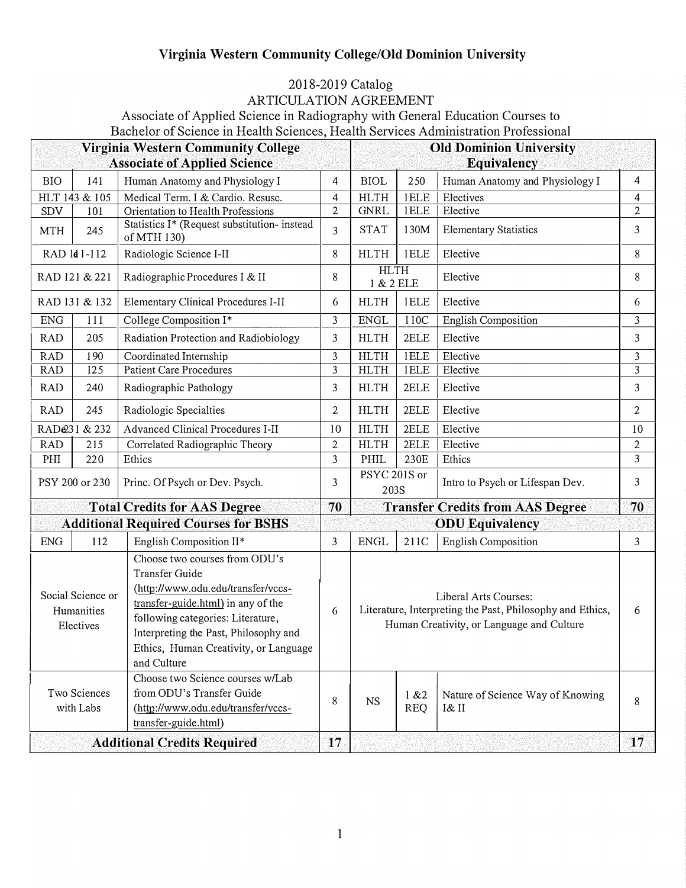## **Virginia Western Community College/Old Dominion University**

## 2018-2019 Catalog

ARTICULATION AGREEMENT

Associate of Applied Science in Radiography with General Education Courses to Bachelor of Science in Health Sciences, Health Services Administration Professional

| <b>Virginia Western Community College</b>    |               |                                                                                                                                                                                                                                                                          |              | <b>Old Dominion University</b>                                                                                                  |                     |                                           |                |  |  |
|----------------------------------------------|---------------|--------------------------------------------------------------------------------------------------------------------------------------------------------------------------------------------------------------------------------------------------------------------------|--------------|---------------------------------------------------------------------------------------------------------------------------------|---------------------|-------------------------------------------|----------------|--|--|
| <b>Associate of Applied Science</b>          |               |                                                                                                                                                                                                                                                                          |              |                                                                                                                                 | Equivalency         |                                           |                |  |  |
| <b>BIO</b>                                   | 141           | Human Anatomy and Physiology I                                                                                                                                                                                                                                           | 4            | <b>BIOL</b>                                                                                                                     | 250                 | Human Anatomy and Physiology I            | 4              |  |  |
|                                              | HLT 143 & 105 | Medical Term. I & Cardio. Resusc.                                                                                                                                                                                                                                        | 4            | <b>HLTH</b>                                                                                                                     | 1ELE                | Electives                                 | 4              |  |  |
| SDV                                          | 101           | Orientation to Health Professions                                                                                                                                                                                                                                        | $\mathbf{2}$ | <b>GNRL</b>                                                                                                                     | 1ELE                | Elective                                  | $\overline{2}$ |  |  |
| <b>MTH</b>                                   | 245           | Statistics I* (Request substitution- instead<br>of MTH 130)                                                                                                                                                                                                              | 3            | <b>STAT</b>                                                                                                                     | 130M                | <b>Elementary Statistics</b>              | 3              |  |  |
| RAD 1d1-112                                  |               | Radiologic Science I-II                                                                                                                                                                                                                                                  | 8            | <b>HLTH</b>                                                                                                                     | 1ELE                | Elective                                  | 8              |  |  |
| RAD 121 & 221                                |               | Radiographic Procedures I & II                                                                                                                                                                                                                                           | 8            | <b>HLTH</b><br>1 & 2 ELE                                                                                                        |                     | Elective                                  | 8              |  |  |
| RAD 131 & 132                                |               | <b>Elementary Clinical Procedures I-II</b>                                                                                                                                                                                                                               | 6            | <b>HLTH</b>                                                                                                                     | 1ELE                | Elective                                  | 6              |  |  |
| <b>ENG</b>                                   | 111           | College Composition I*                                                                                                                                                                                                                                                   | 3            | <b>ENGL</b>                                                                                                                     | 110C                | <b>English Composition</b>                | 3              |  |  |
| <b>RAD</b>                                   | 205           | Radiation Protection and Radiobiology                                                                                                                                                                                                                                    | 3            | <b>HLTH</b>                                                                                                                     | 2ELE                | Elective                                  | 3              |  |  |
| <b>RAD</b>                                   | 190           | Coordinated Internship                                                                                                                                                                                                                                                   | 3            | <b>HLTH</b>                                                                                                                     | <b>IELE</b>         | Elective                                  | 3              |  |  |
| <b>RAD</b>                                   | 125           | <b>Patient Care Procedures</b>                                                                                                                                                                                                                                           | 3            | <b>HLTH</b>                                                                                                                     | 1ELE                | Elective                                  | $\overline{3}$ |  |  |
| <b>RAD</b>                                   | 240           | Radiographic Pathology                                                                                                                                                                                                                                                   | 3            | <b>HLTH</b>                                                                                                                     | 2ELE                | Elective                                  | 3              |  |  |
| <b>RAD</b>                                   | 245           | Radiologic Specialties                                                                                                                                                                                                                                                   | 2            | <b>HLTH</b>                                                                                                                     | 2ELE                | Elective                                  | $\mathbf{2}$   |  |  |
| RAD@31 & 232                                 |               | <b>Advanced Clinical Procedures I-II</b>                                                                                                                                                                                                                                 | 10           | <b>HLTH</b>                                                                                                                     | 2ELE                | Elective                                  | 10             |  |  |
| <b>RAD</b>                                   | 215           | Correlated Radiographic Theory                                                                                                                                                                                                                                           | $\mathbf{2}$ | <b>HLTH</b>                                                                                                                     | 2ELE                | Elective                                  | $\mathbf{2}$   |  |  |
| PHI                                          | 220           | Ethics                                                                                                                                                                                                                                                                   | 3            | PHIL                                                                                                                            | 230E                | Ethics                                    | 3              |  |  |
| PSY 200 or 230                               |               | Princ. Of Psych or Dev. Psych.                                                                                                                                                                                                                                           | 3            | PSYC 201S or<br>203S                                                                                                            |                     | Intro to Psych or Lifespan Dev.           | 3              |  |  |
| <b>Total Credits for AAS Degree</b>          |               |                                                                                                                                                                                                                                                                          |              |                                                                                                                                 |                     | <b>Transfer Credits from AAS Degree</b>   | 70             |  |  |
| <b>Additional Required Courses for BSHS</b>  |               |                                                                                                                                                                                                                                                                          |              | <b>ODU</b> Equivalency                                                                                                          |                     |                                           |                |  |  |
| <b>ENG</b>                                   | 112           | English Composition II*                                                                                                                                                                                                                                                  | 3            | <b>ENGL</b>                                                                                                                     | 211C                | <b>English Composition</b>                | 3              |  |  |
| Social Science or<br>Humanities<br>Electives |               | Choose two courses from ODU's<br><b>Transfer Guide</b><br>(http://www.odu.edu/transfer/vccs-<br>transfer-guide.html) in any of the<br>following categories: Literature,<br>Interpreting the Past, Philosophy and<br>Ethics, Human Creativity, or Language<br>and Culture | 6            | Liberal Arts Courses:<br>Literature, Interpreting the Past, Philosophy and Ethics,<br>Human Creativity, or Language and Culture |                     |                                           |                |  |  |
| Two Sciences<br>with Labs                    |               | Choose two Science courses w/Lab<br>from ODU's Transfer Guide<br>(http://www.odu.edu/transfer/vccs-<br>transfer-guide.html)                                                                                                                                              | 8            | <b>NS</b>                                                                                                                       | 1 & 2<br><b>REQ</b> | Nature of Science Way of Knowing<br>I& II | 8              |  |  |
| <b>Additional Credits Required</b>           |               |                                                                                                                                                                                                                                                                          | 17           |                                                                                                                                 |                     |                                           | 17             |  |  |